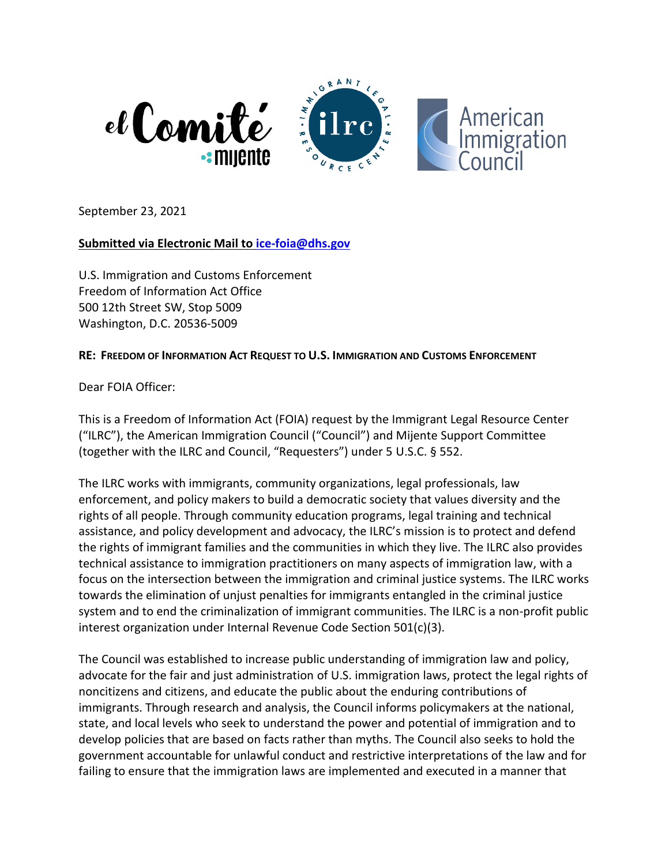

September 23, 2021

### **Submitted via Electronic Mail to [ice-foia@dhs.gov](mailto:ice-foia@dhs.gov)**

U.S. Immigration and Customs Enforcement Freedom of Information Act Office 500 12th Street SW, Stop 5009 Washington, D.C. 20536-5009

### **RE: FREEDOM OF INFORMATION ACT REQUEST TO U.S. IMMIGRATION AND CUSTOMS ENFORCEMENT**

Dear FOIA Officer:

This is a Freedom of Information Act (FOIA) request by the Immigrant Legal Resource Center ("ILRC"), the American Immigration Council ("Council") and Mijente Support Committee (together with the ILRC and Council, "Requesters") under 5 U.S.C. § 552.

The ILRC works with immigrants, community organizations, legal professionals, law enforcement, and policy makers to build a democratic society that values diversity and the rights of all people. Through community education programs, legal training and technical assistance, and policy development and advocacy, the ILRC's mission is to protect and defend the rights of immigrant families and the communities in which they live. The ILRC also provides technical assistance to immigration practitioners on many aspects of immigration law, with a focus on the intersection between the immigration and criminal justice systems. The ILRC works towards the elimination of unjust penalties for immigrants entangled in the criminal justice system and to end the criminalization of immigrant communities. The ILRC is a non-profit public interest organization under Internal Revenue Code Section 501(c)(3).

The Council was established to increase public understanding of immigration law and policy, advocate for the fair and just administration of U.S. immigration laws, protect the legal rights of noncitizens and citizens, and educate the public about the enduring contributions of immigrants. Through research and analysis, the Council informs policymakers at the national, state, and local levels who seek to understand the power and potential of immigration and to develop policies that are based on facts rather than myths. The Council also seeks to hold the government accountable for unlawful conduct and restrictive interpretations of the law and for failing to ensure that the immigration laws are implemented and executed in a manner that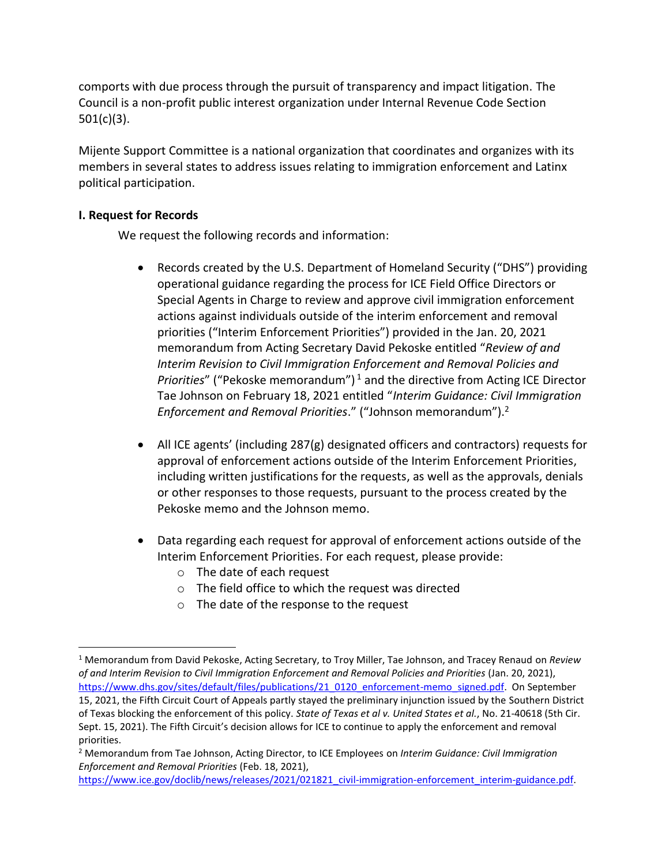comports with due process through the pursuit of transparency and impact litigation. The Council is a non-profit public interest organization under Internal Revenue Code Section 501(c)(3).

Mijente Support Committee is a national organization that coordinates and organizes with its members in several states to address issues relating to immigration enforcement and Latinx political participation.

### **I. Request for Records**

We request the following records and information:

- Records created by the U.S. Department of Homeland Security ("DHS") providing operational guidance regarding the process for ICE Field Office Directors or Special Agents in Charge to review and approve civil immigration enforcement actions against individuals outside of the interim enforcement and removal priorities ("Interim Enforcement Priorities") provided in the Jan. 20, 2021 memorandum from Acting Secretary David Pekoske entitled "*Review of and Interim Revision to Civil Immigration Enforcement and Removal Policies and Priorities*" ("Pekoske memorandum")<sup>1</sup> and the directive from Acting ICE Director Tae Johnson on February 18, 2021 entitled "*Interim Guidance: Civil Immigration Enforcement and Removal Priorities*." ("Johnson memorandum"). 2
- All ICE agents' (including 287(g) designated officers and contractors) requests for approval of enforcement actions outside of the Interim Enforcement Priorities, including written justifications for the requests, as well as the approvals, denials or other responses to those requests, pursuant to the process created by the Pekoske memo and the Johnson memo.
- Data regarding each request for approval of enforcement actions outside of the Interim Enforcement Priorities. For each request, please provide:
	- o The date of each request
	- o The field office to which the request was directed
	- o The date of the response to the request

<sup>1</sup> Memorandum from David Pekoske, Acting Secretary, to Troy Miller, Tae Johnson, and Tracey Renaud on *Review of and Interim Revision to Civil Immigration Enforcement and Removal Policies and Priorities* (Jan. 20, 2021), [https://www.dhs.gov/sites/default/files/publications/21\\_0120\\_enforcement-memo\\_signed.pdf.](https://www.dhs.gov/sites/default/files/publications/21_0120_enforcement-memo_signed.pdf) On September 15, 2021, the Fifth Circuit Court of Appeals partly stayed the preliminary injunction issued by the Southern District of Texas blocking the enforcement of this policy. *State of Texas et al v. United States et al.*, No. 21-40618 (5th Cir. Sept. 15, 2021). The Fifth Circuit's decision allows for ICE to continue to apply the enforcement and removal priorities.

<sup>2</sup> Memorandum from Tae Johnson, Acting Director, to ICE Employees on *Interim Guidance: Civil Immigration Enforcement and Removal Priorities* (Feb. 18, 2021),

[https://www.ice.gov/doclib/news/releases/2021/021821\\_civil-immigration-enforcement\\_interim-guidance.pdf.](https://www.ice.gov/doclib/news/releases/2021/021821_civil-immigration-enforcement_interim-guidance.pdf)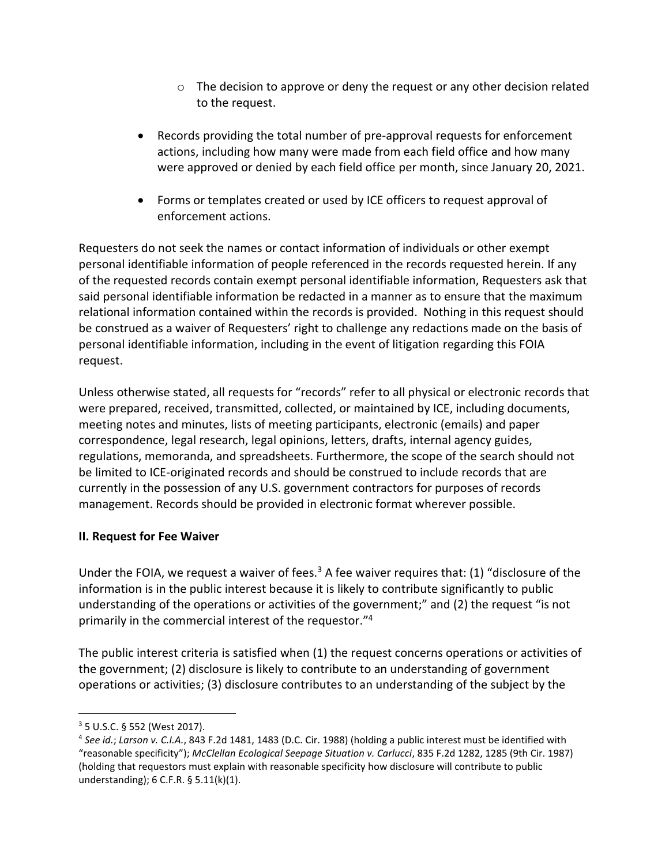- $\circ$  The decision to approve or deny the request or any other decision related to the request.
- Records providing the total number of pre-approval requests for enforcement actions, including how many were made from each field office and how many were approved or denied by each field office per month, since January 20, 2021.
- Forms or templates created or used by ICE officers to request approval of enforcement actions.

Requesters do not seek the names or contact information of individuals or other exempt personal identifiable information of people referenced in the records requested herein. If any of the requested records contain exempt personal identifiable information, Requesters ask that said personal identifiable information be redacted in a manner as to ensure that the maximum relational information contained within the records is provided. Nothing in this request should be construed as a waiver of Requesters' right to challenge any redactions made on the basis of personal identifiable information, including in the event of litigation regarding this FOIA request.

Unless otherwise stated, all requests for "records" refer to all physical or electronic records that were prepared, received, transmitted, collected, or maintained by ICE, including documents, meeting notes and minutes, lists of meeting participants, electronic (emails) and paper correspondence, legal research, legal opinions, letters, drafts, internal agency guides, regulations, memoranda, and spreadsheets. Furthermore, the scope of the search should not be limited to ICE-originated records and should be construed to include records that are currently in the possession of any U.S. government contractors for purposes of records management. Records should be provided in electronic format wherever possible.

# **II. Request for Fee Waiver**

Under the FOIA, we request a waiver of fees.<sup>3</sup> A fee waiver requires that: (1) "disclosure of the information is in the public interest because it is likely to contribute significantly to public understanding of the operations or activities of the government;" and (2) the request "is not primarily in the commercial interest of the requestor." 4

The public interest criteria is satisfied when (1) the request concerns operations or activities of the government; (2) disclosure is likely to contribute to an understanding of government operations or activities; (3) disclosure contributes to an understanding of the subject by the

<sup>3</sup> 5 U.S.C. § 552 (West 2017).

<sup>4</sup> *See id.*; *Larson v. C.I.A.*, 843 F.2d 1481, 1483 (D.C. Cir. 1988) (holding a public interest must be identified with "reasonable specificity"); *McClellan Ecological Seepage Situation v. Carlucci*, 835 F.2d 1282, 1285 (9th Cir. 1987) (holding that requestors must explain with reasonable specificity how disclosure will contribute to public understanding); 6 C.F.R. § 5.11(k)(1).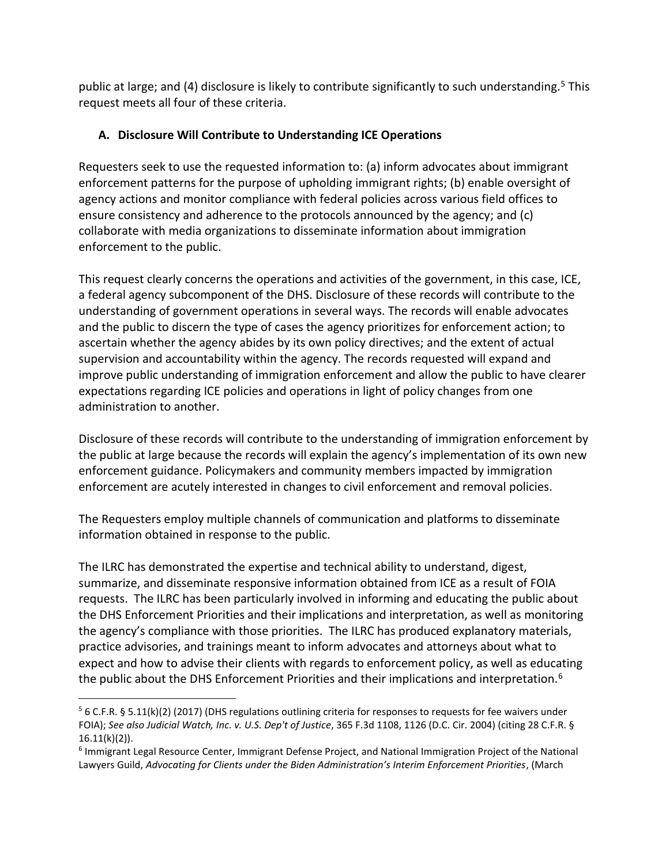public at large; and (4) disclosure is likely to contribute significantly to such understanding.<sup>5</sup> This request meets all four of these criteria.

# **A. Disclosure Will Contribute to Understanding ICE Operations**

Requesters seek to use the requested information to: (a) inform advocates about immigrant enforcement patterns for the purpose of upholding immigrant rights; (b) enable oversight of agency actions and monitor compliance with federal policies across various field offices to ensure consistency and adherence to the protocols announced by the agency; and (c) collaborate with media organizations to disseminate information about immigration enforcement to the public.

This request clearly concerns the operations and activities of the government, in this case, ICE, a federal agency subcomponent of the DHS. Disclosure of these records will contribute to the understanding of government operations in several ways. The records will enable advocates and the public to discern the type of cases the agency prioritizes for enforcement action; to ascertain whether the agency abides by its own policy directives; and the extent of actual supervision and accountability within the agency. The records requested will expand and improve public understanding of immigration enforcement and allow the public to have clearer expectations regarding ICE policies and operations in light of policy changes from one administration to another.

Disclosure of these records will contribute to the understanding of immigration enforcement by the public at large because the records will explain the agency's implementation of its own new enforcement guidance. Policymakers and community members impacted by immigration enforcement are acutely interested in changes to civil enforcement and removal policies.

The Requesters employ multiple channels of communication and platforms to disseminate information obtained in response to the public.

The ILRC has demonstrated the expertise and technical ability to understand, digest, summarize, and disseminate responsive information obtained from ICE as a result of FOIA requests. The ILRC has been particularly involved in informing and educating the public about the DHS Enforcement Priorities and their implications and interpretation, as well as monitoring the agency's compliance with those priorities. The ILRC has produced explanatory materials, practice advisories, and trainings meant to inform advocates and attorneys about what to expect and how to advise their clients with regards to enforcement policy, as well as educating the public about the DHS Enforcement Priorities and their implications and interpretation.<sup>6</sup>

<sup>5</sup> 6 C.F.R. § 5.11(k)(2) (2017) (DHS regulations outlining criteria for responses to requests for fee waivers under FOIA); *See also Judicial Watch, Inc. v. U.S. Dep't of Justice*, 365 F.3d 1108, 1126 (D.C. Cir. 2004) (citing 28 C.F.R. §  $16.11(k)(2)$ ).

<sup>&</sup>lt;sup>6</sup> Immigrant Legal Resource Center, Immigrant Defense Project, and National Immigration Project of the National Lawyers Guild, *Advocating for Clients under the Biden Administration's Interim Enforcement Priorities*, (March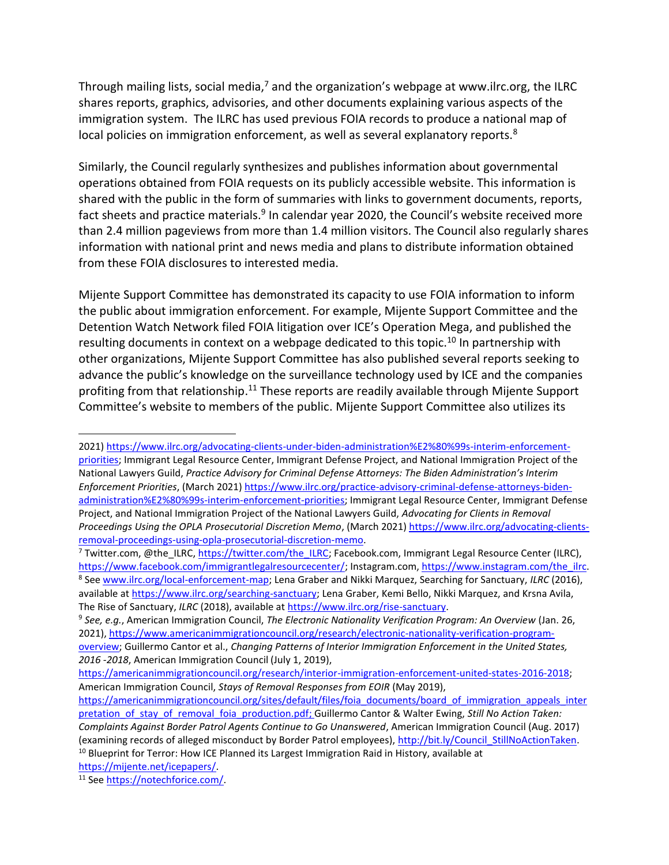Through mailing lists, social media, $7$  and the organization's webpage at www.ilrc.org, the ILRC shares reports, graphics, advisories, and other documents explaining various aspects of the immigration system. The ILRC has used previous FOIA records to produce a national map of local policies on immigration enforcement, as well as several explanatory reports. $8$ 

Similarly, the Council regularly synthesizes and publishes information about governmental operations obtained from FOIA requests on its publicly accessible website. This information is shared with the public in the form of summaries with links to government documents, reports, fact sheets and practice materials.<sup>9</sup> In calendar year 2020, the Council's website received more than 2.4 million pageviews from more than 1.4 million visitors. The Council also regularly shares information with national print and news media and plans to distribute information obtained from these FOIA disclosures to interested media.

Mijente Support Committee has demonstrated its capacity to use FOIA information to inform the public about immigration enforcement. For example, Mijente Support Committee and the Detention Watch Network filed FOIA litigation over ICE's Operation Mega, and published the resulting documents in context on a webpage dedicated to this topic.<sup>10</sup> In partnership with other organizations, Mijente Support Committee has also published several reports seeking to advance the public's knowledge on the surveillance technology used by ICE and the companies profiting from that relationship.<sup>11</sup> These reports are readily available through Mijente Support Committee's website to members of the public. Mijente Support Committee also utilizes its

[https://mijente.net/icepapers/.](https://mijente.net/icepapers/)

<sup>2021</sup>[\) https://www.ilrc.org/advocating-clients-under-biden-administration%E2%80%99s-interim-enforcement](https://www.ilrc.org/advocating-clients-under-biden-administration%E2%80%99s-interim-enforcement-priorities)[priorities;](https://www.ilrc.org/advocating-clients-under-biden-administration%E2%80%99s-interim-enforcement-priorities) Immigrant Legal Resource Center, Immigrant Defense Project, and National Immigration Project of the National Lawyers Guild, *Practice Advisory for Criminal Defense Attorneys: The Biden Administration's Interim Enforcement Priorities*, (March 2021) [https://www.ilrc.org/practice-advisory-criminal-defense-attorneys-biden](https://www.ilrc.org/practice-advisory-criminal-defense-attorneys-biden-administration%E2%80%99s-interim-enforcement-priorities)[administration%E2%80%99s-interim-enforcement-priorities;](https://www.ilrc.org/practice-advisory-criminal-defense-attorneys-biden-administration%E2%80%99s-interim-enforcement-priorities) Immigrant Legal Resource Center, Immigrant Defense Project, and National Immigration Project of the National Lawyers Guild, *Advocating for Clients in Removal Proceedings Using the OPLA Prosecutorial Discretion Memo*, (March 2021[\) https://www.ilrc.org/advocating-clients](https://www.ilrc.org/advocating-clients-removal-proceedings-using-opla-prosecutorial-discretion-memo)[removal-proceedings-using-opla-prosecutorial-discretion-memo.](https://www.ilrc.org/advocating-clients-removal-proceedings-using-opla-prosecutorial-discretion-memo)

<sup>&</sup>lt;sup>7</sup> Twitter.com, @the\_ILRC[, https://twitter.com/the\\_ILRC;](https://twitter.com/the_ILRC) Facebook.com, Immigrant Legal Resource Center (ILRC), [https://www.facebook.com/immigrantlegalresourcecenter/;](https://www.facebook.com/immigrantlegalresourcecenter/) Instagram.com, [https://www.instagram.com/the\\_ilrc.](https://www.instagram.com/the_ilrc) 8 See [www.ilrc.org/local-enforcement-map;](http://www.ilrc.org/local-enforcement-map) Lena Graber and Nikki Marquez, Searching for Sanctuary, *ILRC* (2016), available a[t https://www.ilrc.org/searching-sanctuary;](https://www.ilrc.org/searching-sanctuary) Lena Graber, Kemi Bello, Nikki Marquez, and Krsna Avila, The Rise of Sanctuary, *ILRC* (2018), available at [https://www.ilrc.org/rise-sanctuary.](https://www.ilrc.org/rise-sanctuary)

<sup>9</sup> *See, e.g.*, American Immigration Council, *The Electronic Nationality Verification Program: An Overview* (Jan. 26, 2021), [https://www.americanimmigrationcouncil.org/research/electronic-nationality-verification-program](https://www.americanimmigrationcouncil.org/research/electronic-nationality-verification-program-overview)[overview;](https://www.americanimmigrationcouncil.org/research/electronic-nationality-verification-program-overview) Guillermo Cantor et al., *Changing Patterns of Interior Immigration Enforcement in the United States, 2016 -2018*, American Immigration Council (July 1, 2019),

[https://americanimmigrationcouncil.org/research/interior-immigration-enforcement-united-states-2016-2018;](https://americanimmigrationcouncil.org/research/interior-immigration-enforcement-united-states-2016-2018) American Immigration Council, *Stays of Removal Responses from EOIR* (May 2019),

[https://americanimmigrationcouncil.org/sites/default/files/foia\\_documents/board\\_of\\_immigration\\_appeals\\_inter](https://americanimmigrationcouncil.org/sites/default/files/foia_documents/board_of_immigration_appeals_interpretation_of_stay_of_removal_foia_production.pdf) [pretation\\_of\\_stay\\_of\\_removal\\_foia\\_production.pdf;](https://americanimmigrationcouncil.org/sites/default/files/foia_documents/board_of_immigration_appeals_interpretation_of_stay_of_removal_foia_production.pdf) Guillermo Cantor & Walter Ewing, *Still No Action Taken: Complaints Against Border Patrol Agents Continue to Go Unanswered*, American Immigration Council (Aug. 2017) (examining records of alleged misconduct by Border Patrol employees), [http://bit.ly/Council\\_StillNoActionTaken.](http://bit.ly/Council_StillNoActionTaken)  $10$  Blueprint for Terror: How ICE Planned its Largest Immigration Raid in History, available at

<sup>11</sup> Se[e https://notechforice.com/.](https://notechforice.com/)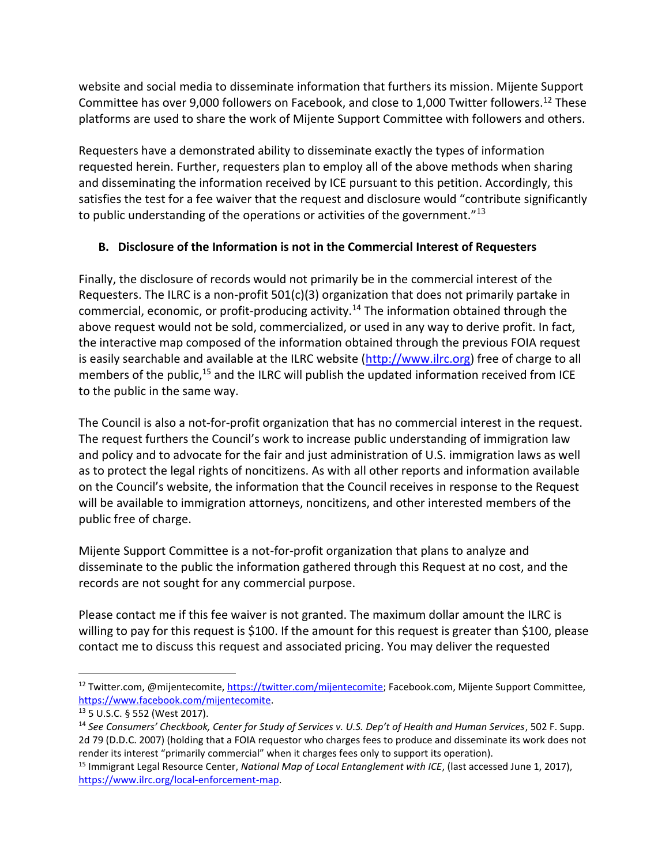website and social media to disseminate information that furthers its mission. Mijente Support Committee has over 9,000 followers on Facebook, and close to 1,000 Twitter followers.<sup>12</sup> These platforms are used to share the work of Mijente Support Committee with followers and others.

Requesters have a demonstrated ability to disseminate exactly the types of information requested herein. Further, requesters plan to employ all of the above methods when sharing and disseminating the information received by ICE pursuant to this petition. Accordingly, this satisfies the test for a fee waiver that the request and disclosure would "contribute significantly to public understanding of the operations or activities of the government." $13$ 

# **B. Disclosure of the Information is not in the Commercial Interest of Requesters**

Finally, the disclosure of records would not primarily be in the commercial interest of the Requesters. The ILRC is a non-profit  $501(c)(3)$  organization that does not primarily partake in commercial, economic, or profit-producing activity.<sup>14</sup> The information obtained through the above request would not be sold, commercialized, or used in any way to derive profit. In fact, the interactive map composed of the information obtained through the previous FOIA request is easily searchable and available at the ILRC website [\(http://www.ilrc.org\)](http://www.ilrc.org/) free of charge to all members of the public,<sup>15</sup> and the ILRC will publish the updated information received from ICE to the public in the same way.

The Council is also a not-for-profit organization that has no commercial interest in the request. The request furthers the Council's work to increase public understanding of immigration law and policy and to advocate for the fair and just administration of U.S. immigration laws as well as to protect the legal rights of noncitizens. As with all other reports and information available on the Council's website, the information that the Council receives in response to the Request will be available to immigration attorneys, noncitizens, and other interested members of the public free of charge.

Mijente Support Committee is a not-for-profit organization that plans to analyze and disseminate to the public the information gathered through this Request at no cost, and the records are not sought for any commercial purpose.

Please contact me if this fee waiver is not granted. The maximum dollar amount the ILRC is willing to pay for this request is \$100. If the amount for this request is greater than \$100, please contact me to discuss this request and associated pricing. You may deliver the requested

<sup>&</sup>lt;sup>12</sup> Twitter.com, @mijentecomite, [https://twitter.com/mijentecomite;](https://twitter.com/mijentecomite) Facebook.com, Mijente Support Committee, [https://www.facebook.com/mijentecomite.](https://www.facebook.com/mijentecomite)

<sup>13</sup> 5 U.S.C. § 552 (West 2017).

<sup>14</sup> *See Consumers' Checkbook, Center for Study of Services v. U.S. Dep't of Health and Human Services*, 502 F. Supp. 2d 79 (D.D.C. 2007) (holding that a FOIA requestor who charges fees to produce and disseminate its work does not render its interest "primarily commercial" when it charges fees only to support its operation).

<sup>15</sup> Immigrant Legal Resource Center, *National Map of Local Entanglement with ICE*, (last accessed June 1, 2017), [https://www.ilrc.org/local-enforcement-map.](https://www.ilrc.org/local-enforcement-map)